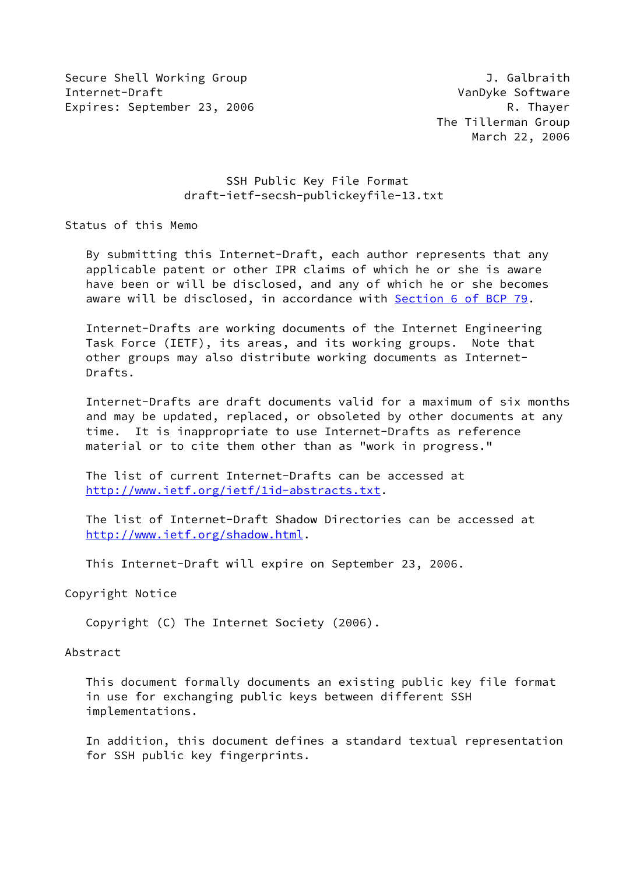Secure Shell Working Group **J. Galbraith** Internet-Draft VanDyke Software Expires: September 23, 2006 R. Thayer

# SSH Public Key File Format draft-ietf-secsh-publickeyfile-13.txt

Status of this Memo

 By submitting this Internet-Draft, each author represents that any applicable patent or other IPR claims of which he or she is aware have been or will be disclosed, and any of which he or she becomes aware will be disclosed, in accordance with Section [6 of BCP 79.](https://datatracker.ietf.org/doc/pdf/bcp79#section-6)

 Internet-Drafts are working documents of the Internet Engineering Task Force (IETF), its areas, and its working groups. Note that other groups may also distribute working documents as Internet- Drafts.

 Internet-Drafts are draft documents valid for a maximum of six months and may be updated, replaced, or obsoleted by other documents at any time. It is inappropriate to use Internet-Drafts as reference material or to cite them other than as "work in progress."

 The list of current Internet-Drafts can be accessed at <http://www.ietf.org/ietf/1id-abstracts.txt>.

 The list of Internet-Draft Shadow Directories can be accessed at <http://www.ietf.org/shadow.html>.

This Internet-Draft will expire on September 23, 2006.

Copyright Notice

Copyright (C) The Internet Society (2006).

#### Abstract

 This document formally documents an existing public key file format in use for exchanging public keys between different SSH implementations.

 In addition, this document defines a standard textual representation for SSH public key fingerprints.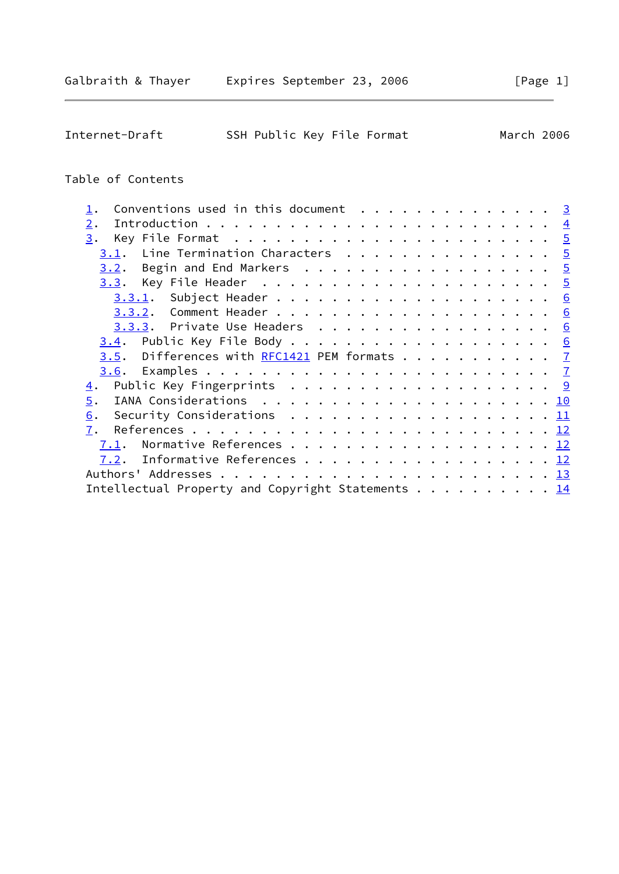| Internet-Draft |  |  | SSH Public Key File Format | March 2006 |  |
|----------------|--|--|----------------------------|------------|--|
|                |  |  |                            |            |  |

# Table of Contents

|      | Conventions used in this document $\cdots$ 3                                              |  |  |  |  |  |  |  |  |  |  |  |
|------|-------------------------------------------------------------------------------------------|--|--|--|--|--|--|--|--|--|--|--|
| 2.   |                                                                                           |  |  |  |  |  |  |  |  |  |  |  |
| 3.   |                                                                                           |  |  |  |  |  |  |  |  |  |  |  |
|      | $3.1$ . Line Termination Characters 5                                                     |  |  |  |  |  |  |  |  |  |  |  |
|      | 3.2. Begin and End Markers 5                                                              |  |  |  |  |  |  |  |  |  |  |  |
|      |                                                                                           |  |  |  |  |  |  |  |  |  |  |  |
|      |                                                                                           |  |  |  |  |  |  |  |  |  |  |  |
|      |                                                                                           |  |  |  |  |  |  |  |  |  |  |  |
|      | <u>3.3.3</u> . Private Use Headers <u>6</u>                                               |  |  |  |  |  |  |  |  |  |  |  |
|      |                                                                                           |  |  |  |  |  |  |  |  |  |  |  |
|      | <u>3.5</u> . Differences with <u>RFC1421</u> PEM formats <u>7</u>                         |  |  |  |  |  |  |  |  |  |  |  |
|      |                                                                                           |  |  |  |  |  |  |  |  |  |  |  |
| 4.   |                                                                                           |  |  |  |  |  |  |  |  |  |  |  |
| 5.   |                                                                                           |  |  |  |  |  |  |  |  |  |  |  |
| 6.   | Security Considerations $\ldots \ldots \ldots \ldots \ldots \ldots \ldots \underline{11}$ |  |  |  |  |  |  |  |  |  |  |  |
| 7.   |                                                                                           |  |  |  |  |  |  |  |  |  |  |  |
| 7.1. | Normative References 12                                                                   |  |  |  |  |  |  |  |  |  |  |  |
| 7.2. | Informative References 12                                                                 |  |  |  |  |  |  |  |  |  |  |  |
|      |                                                                                           |  |  |  |  |  |  |  |  |  |  |  |
|      | Intellectual Property and Copyright Statements 14                                         |  |  |  |  |  |  |  |  |  |  |  |
|      |                                                                                           |  |  |  |  |  |  |  |  |  |  |  |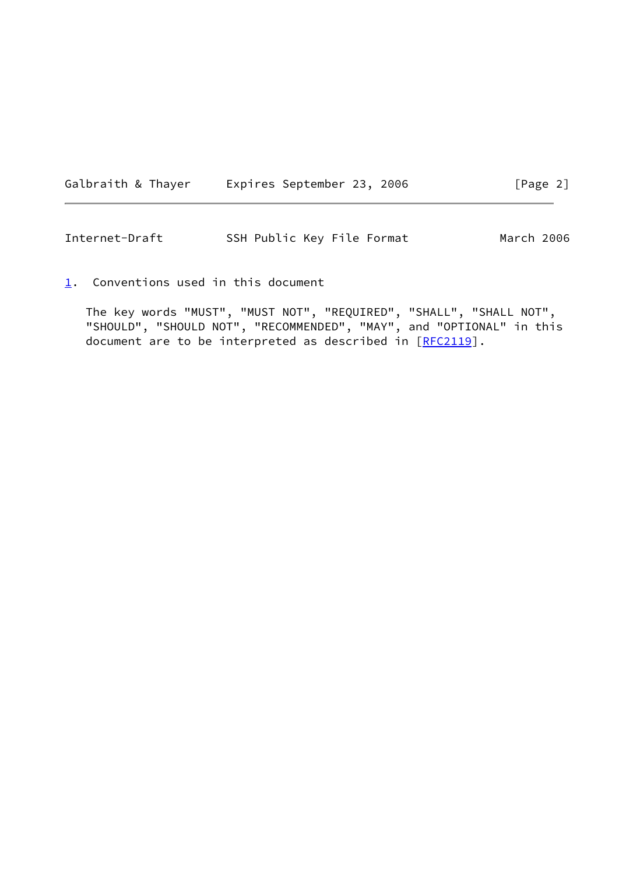| Expires September 23, 2006<br>[Page 2]<br>Galbraith & Thayer |  |  |  |  |  |  |  |  |  |  |  |  |  |  |  |  |  |  |  |  |  |  |  |  |  |  |  |  |  |  |  |  |  |  |  |  |  |  |  |  |  |  |  |  |  |  |  |  |  |  |  |  |  |  |  |  |  |  |  |  |  |  |  |  |  |  |  |  |  |  |  |  |  |  |  |  |  |  |  |  |  |  |  |  |  |  |  |  |  |  |  |  |  |  |  |  |  |  |  |  |  |  |  |  |  |  |  |  |  |  |  |  |  |  |  |  |  |  |  |  |  |  |  |  |  |  |  |  |  |  |  |  |  |  |  |  |  |  |  |  |  |  |  |  |  |  |
|--------------------------------------------------------------|--|--|--|--|--|--|--|--|--|--|--|--|--|--|--|--|--|--|--|--|--|--|--|--|--|--|--|--|--|--|--|--|--|--|--|--|--|--|--|--|--|--|--|--|--|--|--|--|--|--|--|--|--|--|--|--|--|--|--|--|--|--|--|--|--|--|--|--|--|--|--|--|--|--|--|--|--|--|--|--|--|--|--|--|--|--|--|--|--|--|--|--|--|--|--|--|--|--|--|--|--|--|--|--|--|--|--|--|--|--|--|--|--|--|--|--|--|--|--|--|--|--|--|--|--|--|--|--|--|--|--|--|--|--|--|--|--|--|--|--|--|--|--|--|--|--|
|--------------------------------------------------------------|--|--|--|--|--|--|--|--|--|--|--|--|--|--|--|--|--|--|--|--|--|--|--|--|--|--|--|--|--|--|--|--|--|--|--|--|--|--|--|--|--|--|--|--|--|--|--|--|--|--|--|--|--|--|--|--|--|--|--|--|--|--|--|--|--|--|--|--|--|--|--|--|--|--|--|--|--|--|--|--|--|--|--|--|--|--|--|--|--|--|--|--|--|--|--|--|--|--|--|--|--|--|--|--|--|--|--|--|--|--|--|--|--|--|--|--|--|--|--|--|--|--|--|--|--|--|--|--|--|--|--|--|--|--|--|--|--|--|--|--|--|--|--|--|--|--|

<span id="page-2-1"></span>Internet-Draft SSH Public Key File Format March 2006

<span id="page-2-0"></span>[1](#page-2-0). Conventions used in this document

 The key words "MUST", "MUST NOT", "REQUIRED", "SHALL", "SHALL NOT", "SHOULD", "SHOULD NOT", "RECOMMENDED", "MAY", and "OPTIONAL" in this document are to be interpreted as described in [\[RFC2119](https://datatracker.ietf.org/doc/pdf/rfc2119)].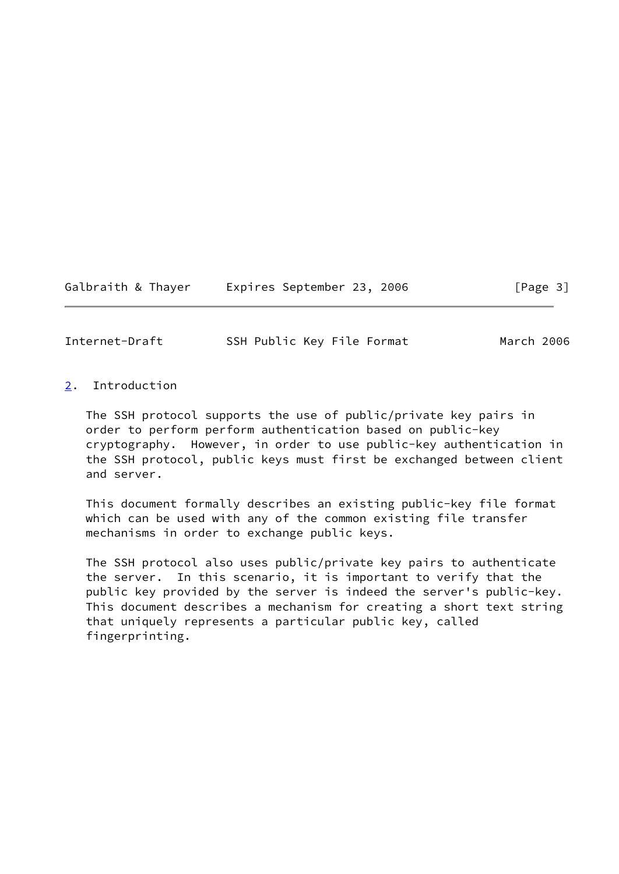Galbraith & Thayer **Expires September 23, 2006** [Page 3]

<span id="page-3-1"></span>Internet-Draft SSH Public Key File Format March 2006

<span id="page-3-0"></span>[2](#page-3-0). Introduction

 The SSH protocol supports the use of public/private key pairs in order to perform perform authentication based on public-key cryptography. However, in order to use public-key authentication in the SSH protocol, public keys must first be exchanged between client and server.

 This document formally describes an existing public-key file format which can be used with any of the common existing file transfer mechanisms in order to exchange public keys.

 The SSH protocol also uses public/private key pairs to authenticate the server. In this scenario, it is important to verify that the public key provided by the server is indeed the server's public-key. This document describes a mechanism for creating a short text string that uniquely represents a particular public key, called fingerprinting.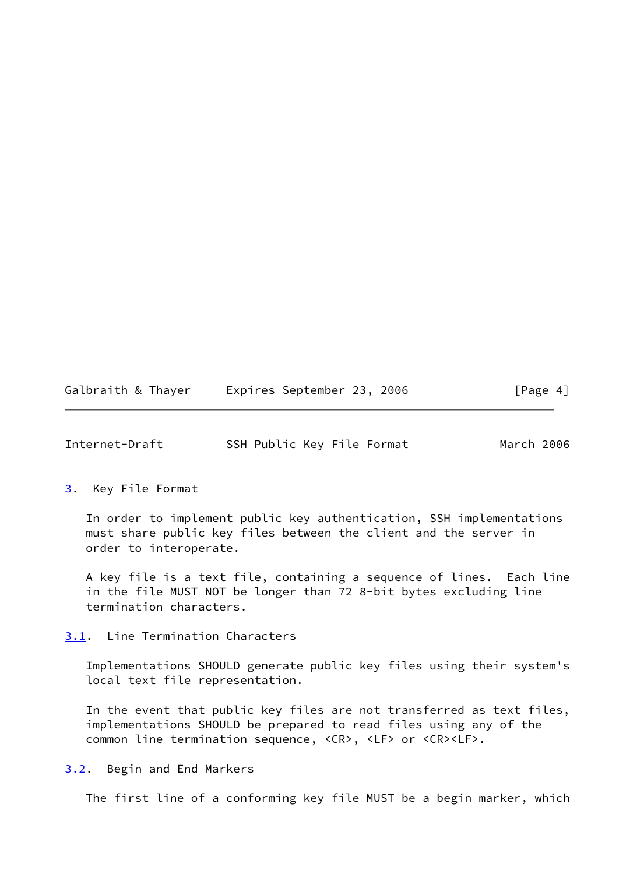| Galbraith & Thayer |  | Expires September 23, 2006 |  |  | [Page 4] |
|--------------------|--|----------------------------|--|--|----------|
|--------------------|--|----------------------------|--|--|----------|

<span id="page-4-1"></span>

| Internet-Draft |  | SSH Public Key File Format | March 2006 |
|----------------|--|----------------------------|------------|
|----------------|--|----------------------------|------------|

<span id="page-4-0"></span>[3](#page-4-0). Key File Format

 In order to implement public key authentication, SSH implementations must share public key files between the client and the server in order to interoperate.

 A key file is a text file, containing a sequence of lines. Each line in the file MUST NOT be longer than 72 8-bit bytes excluding line termination characters.

<span id="page-4-2"></span>[3.1](#page-4-2). Line Termination Characters

 Implementations SHOULD generate public key files using their system's local text file representation.

 In the event that public key files are not transferred as text files, implementations SHOULD be prepared to read files using any of the common line termination sequence, <CR>, <LF> or <CR><LF>.

<span id="page-4-3"></span>[3.2](#page-4-3). Begin and End Markers

The first line of a conforming key file MUST be a begin marker, which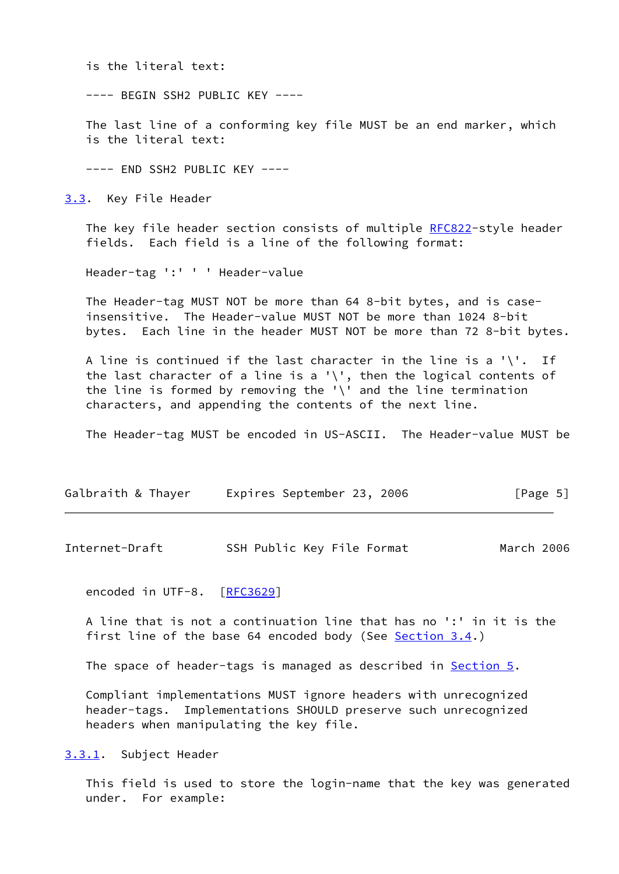is the literal text:

---- BEGIN SSH2 PUBLIC KEY ----

 The last line of a conforming key file MUST be an end marker, which is the literal text:

---- END SSH2 PUBLIC KEY ----

<span id="page-5-0"></span>[3.3](#page-5-0). Key File Header

The key file header section consists of multiple [RFC822](https://datatracker.ietf.org/doc/pdf/rfc822)-style header fields. Each field is a line of the following format:

Header-tag ':' ' ' Header-value

 The Header-tag MUST NOT be more than 64 8-bit bytes, and is case insensitive. The Header-value MUST NOT be more than 1024 8-bit bytes. Each line in the header MUST NOT be more than 72 8-bit bytes.

A line is continued if the last character in the line is a '\'. If the last character of a line is a '\', then the logical contents of the line is formed by removing the '\' and the line termination characters, and appending the contents of the next line.

The Header-tag MUST be encoded in US-ASCII. The Header-value MUST be

| Galbraith & Thayer |  | Expires September 23, 2006 |  |  | [Page 5] |  |
|--------------------|--|----------------------------|--|--|----------|--|
|--------------------|--|----------------------------|--|--|----------|--|

<span id="page-5-2"></span>Internet-Draft SSH Public Key File Format March 2006

encoded in UTF-8. [[RFC3629\]](https://datatracker.ietf.org/doc/pdf/rfc3629)

 A line that is not a continuation line that has no ':' in it is the first line of the base 64 encoded body (See [Section 3.4.](#page-6-2))

The space of header-tags is managed as described in **[Section 5.](#page-10-0)** 

 Compliant implementations MUST ignore headers with unrecognized header-tags. Implementations SHOULD preserve such unrecognized headers when manipulating the key file.

<span id="page-5-1"></span>[3.3.1](#page-5-1). Subject Header

 This field is used to store the login-name that the key was generated under. For example: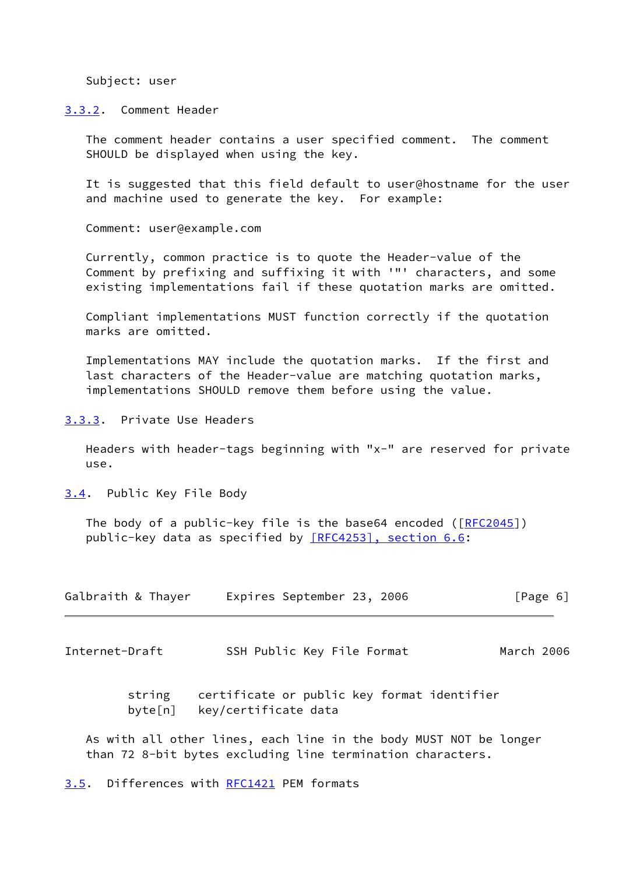Subject: user

<span id="page-6-0"></span>[3.3.2](#page-6-0). Comment Header

 The comment header contains a user specified comment. The comment SHOULD be displayed when using the key.

 It is suggested that this field default to user@hostname for the user and machine used to generate the key. For example:

Comment: user@example.com

 Currently, common practice is to quote the Header-value of the Comment by prefixing and suffixing it with '"' characters, and some existing implementations fail if these quotation marks are omitted.

 Compliant implementations MUST function correctly if the quotation marks are omitted.

 Implementations MAY include the quotation marks. If the first and last characters of the Header-value are matching quotation marks, implementations SHOULD remove them before using the value.

<span id="page-6-1"></span>[3.3.3](#page-6-1). Private Use Headers

 Headers with header-tags beginning with "x-" are reserved for private use.

<span id="page-6-2"></span>[3.4](#page-6-2). Public Key File Body

The body of a public-key file is the base64 encoded ( $[REC2045]$ ) public-key data as specified by [\[RFC4253\], section](https://datatracker.ietf.org/doc/pdf/rfc4253#section-6.6) 6.6:

| Galbraith & Thayer | Expires September 23, 2006 |  | [Page 6] |  |
|--------------------|----------------------------|--|----------|--|
|                    |                            |  |          |  |

<span id="page-6-4"></span>Internet-Draft SSH Public Key File Format March 2006

 string certificate or public key format identifier byte[n] key/certificate data

 As with all other lines, each line in the body MUST NOT be longer than 72 8-bit bytes excluding line termination characters.

<span id="page-6-3"></span>[3.5](#page-6-3). Differences with [RFC1421](https://datatracker.ietf.org/doc/pdf/rfc1421) PEM formats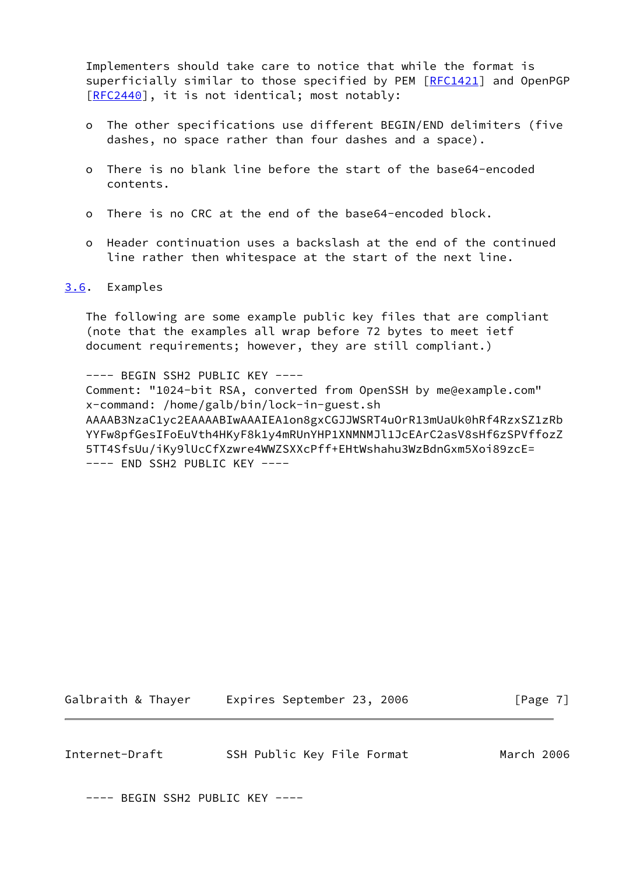Implementers should take care to notice that while the format is superficially similar to those specified by PEM [\[RFC1421](https://datatracker.ietf.org/doc/pdf/rfc1421)] and OpenPGP [\[RFC2440](https://datatracker.ietf.org/doc/pdf/rfc2440)], it is not identical; most notably:

- o The other specifications use different BEGIN/END delimiters (five dashes, no space rather than four dashes and a space).
- o There is no blank line before the start of the base64-encoded contents.
- o There is no CRC at the end of the base64-encoded block.
- o Header continuation uses a backslash at the end of the continued line rather then whitespace at the start of the next line.

#### <span id="page-7-0"></span>[3.6](#page-7-0). Examples

 The following are some example public key files that are compliant (note that the examples all wrap before 72 bytes to meet ietf document requirements; however, they are still compliant.)

---- BEGIN SSH2 PUBLIC KEY ---- Comment: "1024-bit RSA, converted from OpenSSH by me@example.com" x-command: /home/galb/bin/lock-in-guest.sh AAAAB3NzaC1yc2EAAAABIwAAAIEA1on8gxCGJJWSRT4uOrR13mUaUk0hRf4RzxSZ1zRb YYFw8pfGesIFoEuVth4HKyF8k1y4mRUnYHP1XNMNMJl1JcEArC2asV8sHf6zSPVffozZ 5TT4SfsUu/iKy9lUcCfXzwre4WWZSXXcPff+EHtWshahu3WzBdnGxm5Xoi89zcE= ---- END SSH2 PUBLIC KEY ----

Galbraith & Thayer Expires September 23, 2006 [Page 7]

Internet-Draft SSH Public Key File Format March 2006

---- BEGIN SSH2 PUBLIC KEY ----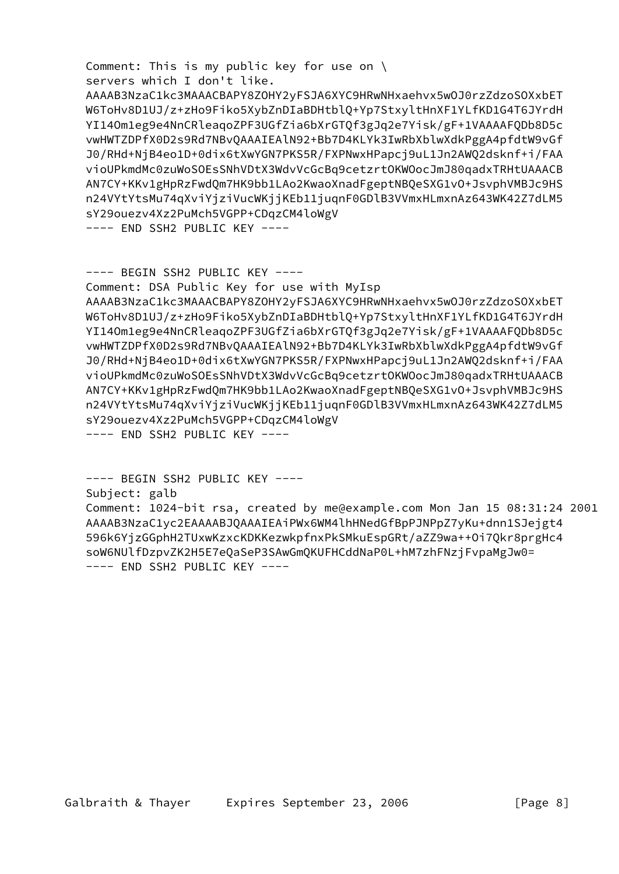Comment: This is my public key for use on \ servers which I don't like.

 AAAAB3NzaC1kc3MAAACBAPY8ZOHY2yFSJA6XYC9HRwNHxaehvx5wOJ0rzZdzoSOXxbET W6ToHv8D1UJ/z+zHo9Fiko5XybZnDIaBDHtblQ+Yp7StxyltHnXF1YLfKD1G4T6JYrdH YI14Om1eg9e4NnCRleaqoZPF3UGfZia6bXrGTQf3gJq2e7Yisk/gF+1VAAAAFQDb8D5c vwHWTZDPfX0D2s9Rd7NBvQAAAIEAlN92+Bb7D4KLYk3IwRbXblwXdkPggA4pfdtW9vGf J0/RHd+NjB4eo1D+0dix6tXwYGN7PKS5R/FXPNwxHPapcj9uL1Jn2AWQ2dsknf+i/FAA vioUPkmdMc0zuWoSOEsSNhVDtX3WdvVcGcBq9cetzrtOKWOocJmJ80qadxTRHtUAAACB AN7CY+KKv1gHpRzFwdQm7HK9bb1LAo2KwaoXnadFgeptNBQeSXG1vO+JsvphVMBJc9HS n24VYtYtsMu74qXviYjziVucWKjjKEb11juqnF0GDlB3VVmxHLmxnAz643WK42Z7dLM5 sY29ouezv4Xz2PuMch5VGPP+CDqzCM4loWgV

---- END SSH2 PUBLIC KEY ----

---- BEGIN SSH2 PUBLIC KEY ---- Comment: DSA Public Key for use with MyIsp AAAAB3NzaC1kc3MAAACBAPY8ZOHY2yFSJA6XYC9HRwNHxaehvx5wOJ0rzZdzoSOXxbET W6ToHv8D1UJ/z+zHo9Fiko5XybZnDIaBDHtblQ+Yp7StxyltHnXF1YLfKD1G4T6JYrdH YI14Om1eg9e4NnCRleaqoZPF3UGfZia6bXrGTQf3gJq2e7Yisk/gF+1VAAAAFQDb8D5c vwHWTZDPfX0D2s9Rd7NBvQAAAIEAlN92+Bb7D4KLYk3IwRbXblwXdkPggA4pfdtW9vGf J0/RHd+NjB4eo1D+0dix6tXwYGN7PKS5R/FXPNwxHPapcj9uL1Jn2AWQ2dsknf+i/FAA vioUPkmdMc0zuWoSOEsSNhVDtX3WdvVcGcBq9cetzrtOKWOocJmJ80qadxTRHtUAAACB AN7CY+KKv1gHpRzFwdQm7HK9bb1LAo2KwaoXnadFgeptNBQeSXG1vO+JsvphVMBJc9HS n24VYtYtsMu74qXviYjziVucWKjjKEb11juqnF0GDlB3VVmxHLmxnAz643WK42Z7dLM5 sY29ouezv4Xz2PuMch5VGPP+CDqzCM4loWgV ---- END SSH2 PUBLIC KEY ----

 ---- BEGIN SSH2 PUBLIC KEY ---- Subject: galb Comment: 1024-bit rsa, created by me@example.com Mon Jan 15 08:31:24 2001 AAAAB3NzaC1yc2EAAAABJQAAAIEAiPWx6WM4lhHNedGfBpPJNPpZ7yKu+dnn1SJejgt4 596k6YjzGGphH2TUxwKzxcKDKKezwkpfnxPkSMkuEspGRt/aZZ9wa++Oi7Qkr8prgHc4 soW6NUlfDzpvZK2H5E7eQaSeP3SAwGmQKUFHCddNaP0L+hM7zhFNzjFvpaMgJw0= ---- END SSH2 PUBLIC KEY ----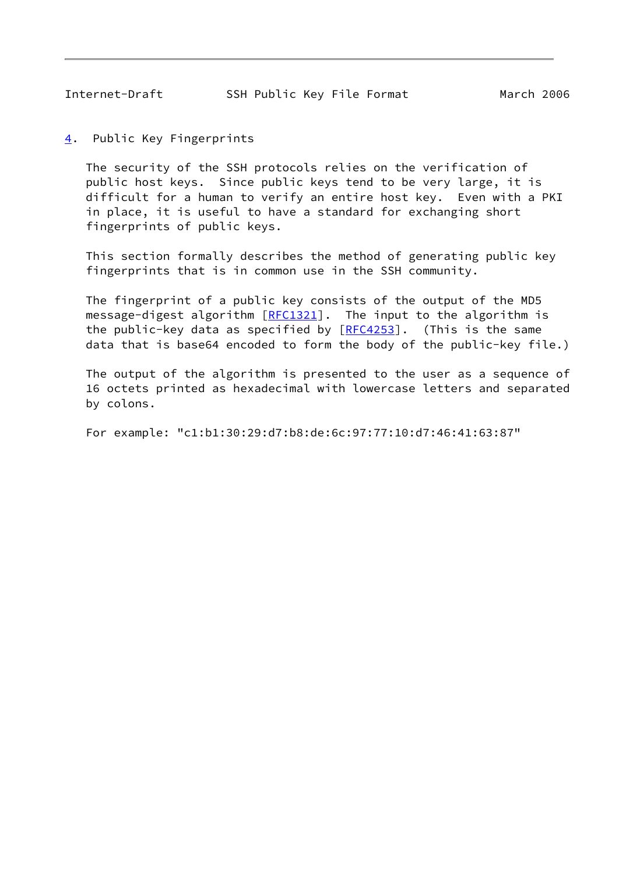<span id="page-9-1"></span><span id="page-9-0"></span>[4](#page-9-0). Public Key Fingerprints

 The security of the SSH protocols relies on the verification of public host keys. Since public keys tend to be very large, it is difficult for a human to verify an entire host key. Even with a PKI in place, it is useful to have a standard for exchanging short fingerprints of public keys.

 This section formally describes the method of generating public key fingerprints that is in common use in the SSH community.

 The fingerprint of a public key consists of the output of the MD5 message-digest algorithm [\[RFC1321](https://datatracker.ietf.org/doc/pdf/rfc1321)]. The input to the algorithm is the public-key data as specified by  $[RECA253]$ . (This is the same data that is base64 encoded to form the body of the public-key file.)

 The output of the algorithm is presented to the user as a sequence of 16 octets printed as hexadecimal with lowercase letters and separated by colons.

For example: "c1:b1:30:29:d7:b8:de:6c:97:77:10:d7:46:41:63:87"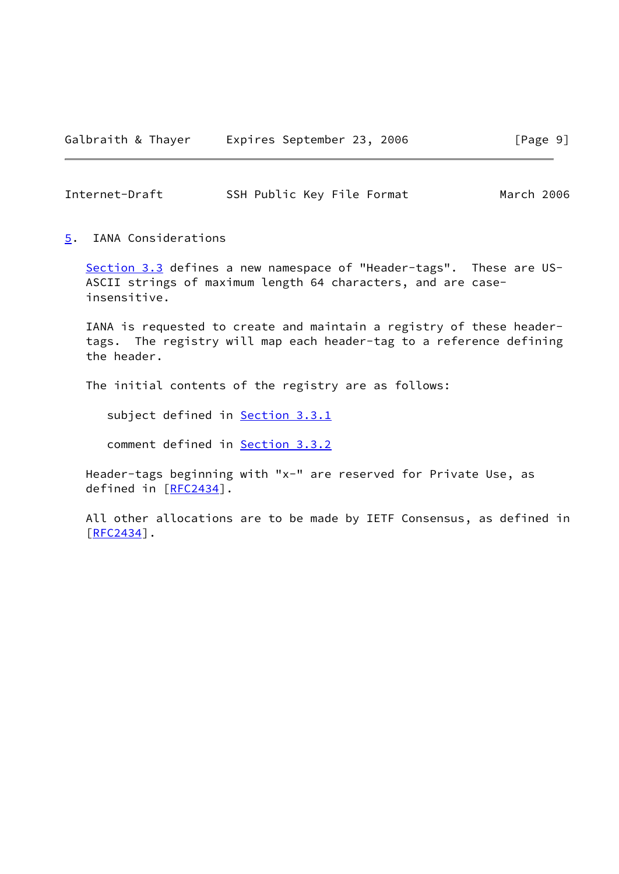<span id="page-10-1"></span>Internet-Draft SSH Public Key File Format March 2006

<span id="page-10-0"></span>[5](#page-10-0). IANA Considerations

 [Section 3.3](#page-5-0) defines a new namespace of "Header-tags". These are US- ASCII strings of maximum length 64 characters, and are case insensitive.

 IANA is requested to create and maintain a registry of these header tags. The registry will map each header-tag to a reference defining the header.

The initial contents of the registry are as follows:

subject defined in **Section 3.3.1** 

comment defined in [Section 3.3.2](#page-6-0)

 Header-tags beginning with "x-" are reserved for Private Use, as defined in [[RFC2434\]](https://datatracker.ietf.org/doc/pdf/rfc2434).

 All other allocations are to be made by IETF Consensus, as defined in [\[RFC2434](https://datatracker.ietf.org/doc/pdf/rfc2434)].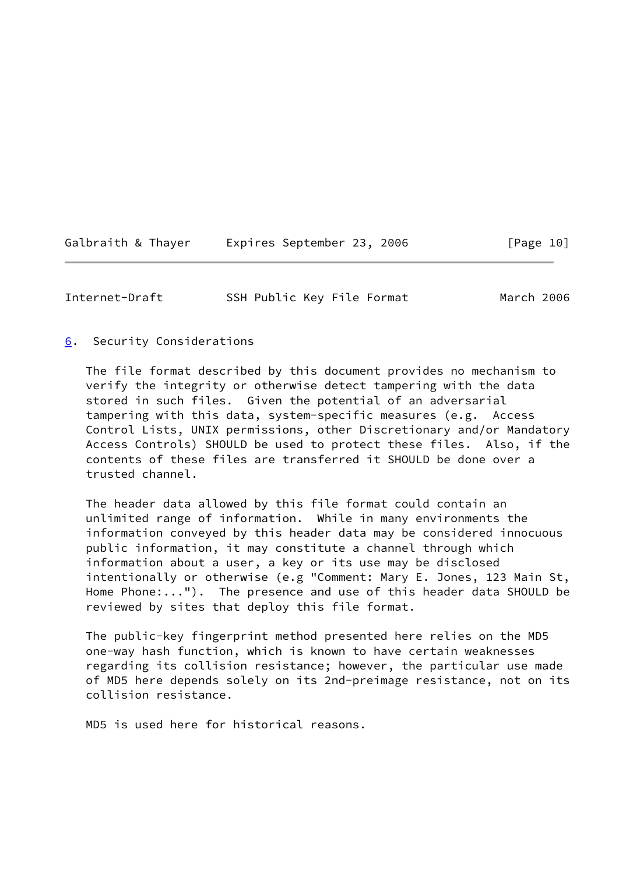| Galbraith & Thayer | Expires September 23, 2006 |  | [Page 10] |
|--------------------|----------------------------|--|-----------|
|--------------------|----------------------------|--|-----------|

<span id="page-11-1"></span>Internet-Draft SSH Public Key File Format March 2006

## <span id="page-11-0"></span>[6](#page-11-0). Security Considerations

 The file format described by this document provides no mechanism to verify the integrity or otherwise detect tampering with the data stored in such files. Given the potential of an adversarial tampering with this data, system-specific measures (e.g. Access Control Lists, UNIX permissions, other Discretionary and/or Mandatory Access Controls) SHOULD be used to protect these files. Also, if the contents of these files are transferred it SHOULD be done over a trusted channel.

 The header data allowed by this file format could contain an unlimited range of information. While in many environments the information conveyed by this header data may be considered innocuous public information, it may constitute a channel through which information about a user, a key or its use may be disclosed intentionally or otherwise (e.g "Comment: Mary E. Jones, 123 Main St, Home Phone:..."). The presence and use of this header data SHOULD be reviewed by sites that deploy this file format.

 The public-key fingerprint method presented here relies on the MD5 one-way hash function, which is known to have certain weaknesses regarding its collision resistance; however, the particular use made of MD5 here depends solely on its 2nd-preimage resistance, not on its collision resistance.

MD5 is used here for historical reasons.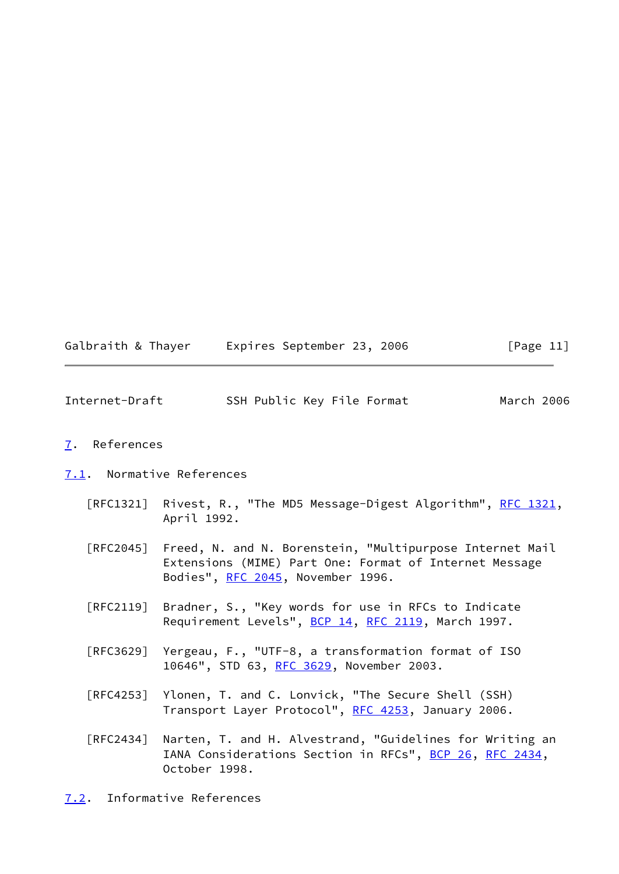| Galbraith & Thayer | Expires September 23, 2006 | [Page 11] |
|--------------------|----------------------------|-----------|
|--------------------|----------------------------|-----------|

<span id="page-12-1"></span>

| Internet-Draft | SSH Public Key File Format | March 2006 |  |
|----------------|----------------------------|------------|--|
|                |                            |            |  |

## <span id="page-12-0"></span>[7](#page-12-0). References

#### <span id="page-12-2"></span>[7.1](#page-12-2). Normative References

- [RFC1321] Rivest, R., "The MD5 Message-Digest Algorithm", [RFC 1321,](https://datatracker.ietf.org/doc/pdf/rfc1321) April 1992.
- [RFC2045] Freed, N. and N. Borenstein, "Multipurpose Internet Mail Extensions (MIME) Part One: Format of Internet Message Bodies", [RFC 2045,](https://datatracker.ietf.org/doc/pdf/rfc2045) November 1996.
- [RFC2119] Bradner, S., "Key words for use in RFCs to Indicate Requirement Levels", [BCP 14](https://datatracker.ietf.org/doc/pdf/bcp14), [RFC 2119](https://datatracker.ietf.org/doc/pdf/rfc2119), March 1997.
- [RFC3629] Yergeau, F., "UTF-8, a transformation format of ISO 10646", STD 63, [RFC 3629,](https://datatracker.ietf.org/doc/pdf/rfc3629) November 2003.
- [RFC4253] Ylonen, T. and C. Lonvick, "The Secure Shell (SSH) Transport Layer Protocol", [RFC 4253](https://datatracker.ietf.org/doc/pdf/rfc4253), January 2006.
- [RFC2434] Narten, T. and H. Alvestrand, "Guidelines for Writing an IANA Considerations Section in RFCs", [BCP 26](https://datatracker.ietf.org/doc/pdf/bcp26), [RFC 2434](https://datatracker.ietf.org/doc/pdf/rfc2434), October 1998.
- <span id="page-12-3"></span>[7.2](#page-12-3). Informative References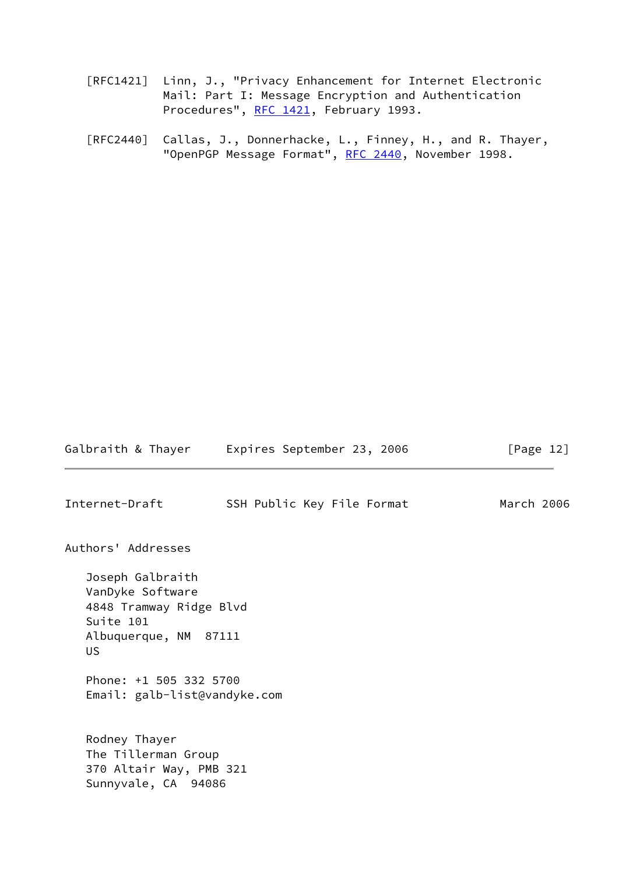- [RFC1421] Linn, J., "Privacy Enhancement for Internet Electronic Mail: Part I: Message Encryption and Authentication Procedures", [RFC 1421](https://datatracker.ietf.org/doc/pdf/rfc1421), February 1993.
- [RFC2440] Callas, J., Donnerhacke, L., Finney, H., and R. Thayer, "OpenPGP Message Format", [RFC 2440](https://datatracker.ietf.org/doc/pdf/rfc2440), November 1998.

<span id="page-13-0"></span>Galbraith & Thayer Expires September 23, 2006 [Page 12] Internet-Draft SSH Public Key File Format March 2006 Authors' Addresses Joseph Galbraith VanDyke Software 4848 Tramway Ridge Blvd Suite 101 Albuquerque, NM 87111 US Phone: +1 505 332 5700 Email: galb-list@vandyke.com Rodney Thayer The Tillerman Group 370 Altair Way, PMB 321 Sunnyvale, CA 94086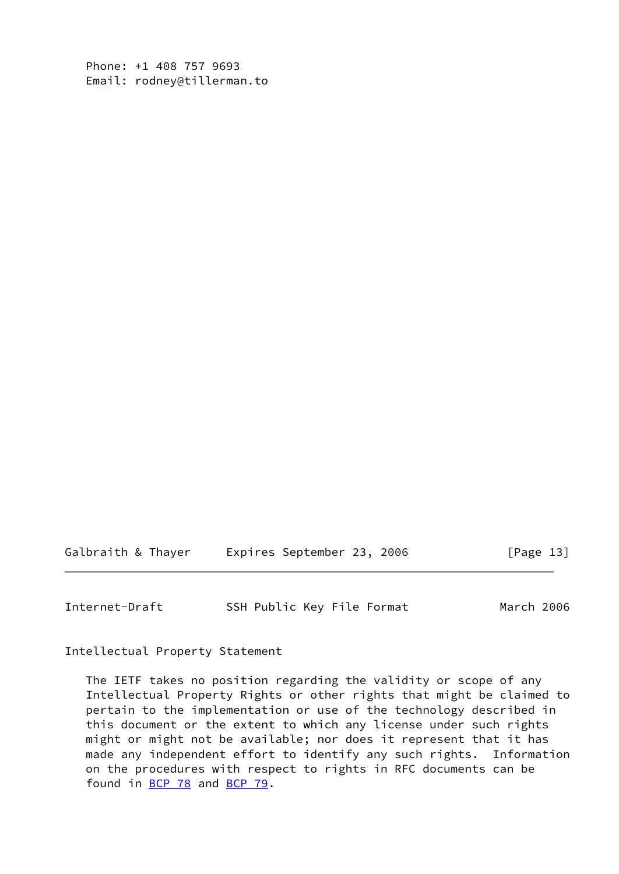Phone: +1 408 757 9693 Email: rodney@tillerman.to

Galbraith & Thayer Expires September 23, 2006 [Page 13]

<span id="page-14-0"></span>Internet-Draft SSH Public Key File Format March 2006

Intellectual Property Statement

 The IETF takes no position regarding the validity or scope of any Intellectual Property Rights or other rights that might be claimed to pertain to the implementation or use of the technology described in this document or the extent to which any license under such rights might or might not be available; nor does it represent that it has made any independent effort to identify any such rights. Information on the procedures with respect to rights in RFC documents can be found in [BCP 78](https://datatracker.ietf.org/doc/pdf/bcp78) and [BCP 79](https://datatracker.ietf.org/doc/pdf/bcp79).